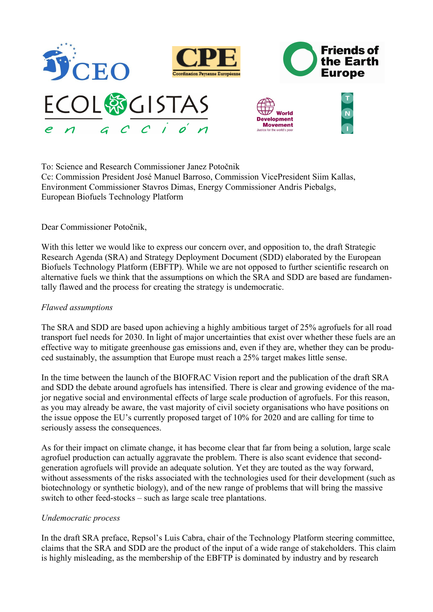

To: Science and Research Commissioner Janez Potočnik Cc: Commission President José Manuel Barroso, Commission VicePresident Siim Kallas, Environment Commissioner Stavros Dimas, Energy Commissioner Andris Piebalgs, European Biofuels Technology Platform

Dear Commissioner Potočnik,

With this letter we would like to express our concern over, and opposition to, the draft Strategic Research Agenda (SRA) and Strategy Deployment Document (SDD) elaborated by the European Biofuels Technology Platform (EBFTP). While we are not opposed to further scientific research on alternative fuels we think that the assumptions on which the SRA and SDD are based are fundamentally flawed and the process for creating the strategy is undemocratic.

## *Flawed assumptions*

The SRA and SDD are based upon achieving a highly ambitious target of 25% agrofuels for all road transport fuel needs for 2030. In light of major uncertainties that exist over whether these fuels are an effective way to mitigate greenhouse gas emissions and, even if they are, whether they can be produced sustainably, the assumption that Europe must reach a 25% target makes little sense.

In the time between the launch of the BIOFRAC Vision report and the publication of the draft SRA and SDD the debate around agrofuels has intensified. There is clear and growing evidence of the major negative social and environmental effects of large scale production of agrofuels. For this reason, as you may already be aware, the vast majority of civil society organisations who have positions on the issue oppose the EU's currently proposed target of 10% for 2020 and are calling for time to seriously assess the consequences.

As for their impact on climate change, it has become clear that far from being a solution, large scale agrofuel production can actually aggravate the problem. There is also scant evidence that secondgeneration agrofuels will provide an adequate solution. Yet they are touted as the way forward, without assessments of the risks associated with the technologies used for their development (such as biotechnology or synthetic biology), and of the new range of problems that will bring the massive switch to other feed-stocks – such as large scale tree plantations.

## *Undemocratic process*

In the draft SRA preface, Repsol's Luis Cabra, chair of the Technology Platform steering committee, claims that the SRA and SDD are the product of the input of a wide range of stakeholders. This claim is highly misleading, as the membership of the EBFTP is dominated by industry and by research